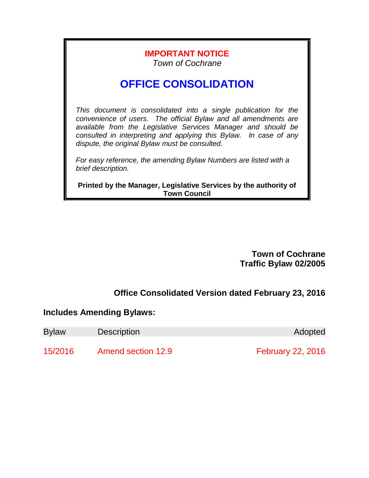## **IMPORTANT NOTICE** *Town of Cochrane*

# **OFFICE CONSOLIDATION**

*This document is consolidated into a single publication for the convenience of users. The official Bylaw and all amendments are available from the Legislative Services Manager and should be consulted in interpreting and applying this Bylaw. In case of any dispute, the original Bylaw must be consulted.*

*For easy reference, the amending Bylaw Numbers are listed with a brief description.*

**Printed by the Manager, Legislative Services by the authority of Town Council**

> **Town of Cochrane Traffic Bylaw 02/2005**

## **Office Consolidated Version dated February 23, 2016**

## **Includes Amending Bylaws:**

| <b>Bylaw</b> | <b>Description</b>        | Adopted                  |
|--------------|---------------------------|--------------------------|
| 15/2016      | <b>Amend section 12.9</b> | <b>February 22, 2016</b> |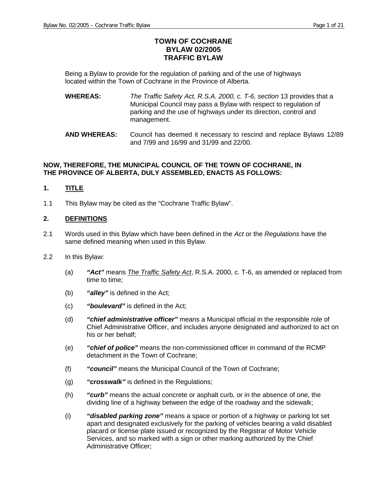### **TOWN OF COCHRANE BYLAW 02/2005 TRAFFIC BYLAW**

Being a Bylaw to provide for the regulation of parking and of the use of highways located within the Town of Cochrane in the Province of Alberta.

- **WHEREAS:** *The Traffic Safety Act, R.S.A. 2000, c. T-6, section* 13 provides that a Municipal Council may pass a Bylaw with respect to regulation of parking and the use of highways under its direction, control and management.
- **AND WHEREAS:** Council has deemed it necessary to rescind and replace Bylaws 12/89 and 7/99 and 16/99 and 31/99 and 22/00.

#### **NOW, THEREFORE, THE MUNICIPAL COUNCIL OF THE TOWN OF COCHRANE, IN THE PROVINCE OF ALBERTA, DULY ASSEMBLED, ENACTS AS FOLLOWS:**

#### **1. TITLE**

1.1 This Bylaw may be cited as the "Cochrane Traffic Bylaw".

#### **2. DEFINITIONS**

- 2.1 Words used in this Bylaw which have been defined in the *Act* or the *Regulations* have the same defined meaning when used in this Bylaw.
- 2.2 In this Bylaw:
	- (a) *"Act"* means *The Traffic Safety Act*, R.S.A. 2000, c. T-6, as amended or replaced from time to time;
	- (b) *"alley"* is defined in the Act;
	- (c) *"boulevard"* is defined in the Act;
	- (d) *"chief administrative officer"* means a Municipal official in the responsible role of Chief Administrative Officer, and includes anyone designated and authorized to act on his or her behalf;
	- (e) *"chief of police"* means the non-commissioned officer in command of the RCMP detachment in the Town of Cochrane;
	- (f) *"council"* means the Municipal Council of the Town of Cochrane;
	- (g) *"crosswalk"* is defined in the Regulations;
	- (h) *"curb"* means the actual concrete or asphalt curb, or in the absence of one, the dividing line of a highway between the edge of the roadway and the sidewalk;
	- (i) *"disabled parking zone"* means a space or portion of a highway or parking lot set apart and designated exclusively for the parking of vehicles bearing a valid disabled placard or license plate issued or recognized by the Registrar of Motor Vehicle Services, and so marked with a sign or other marking authorized by the Chief Administrative Officer;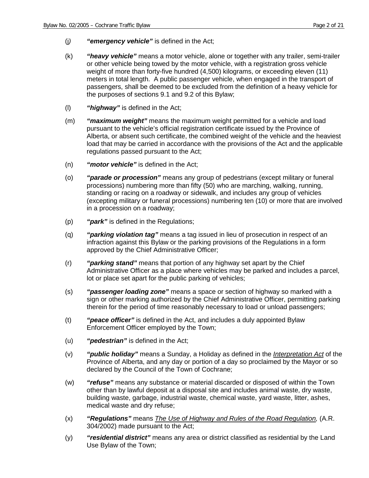- (j*) "emergency vehicle"* is defined in the Act;
- (k) *"heavy vehicle"* means a motor vehicle, alone or together with any trailer, semi-trailer or other vehicle being towed by the motor vehicle, with a registration gross vehicle weight of more than forty-five hundred (4,500) kilograms, or exceeding eleven (11) meters in total length. A public passenger vehicle, when engaged in the transport of passengers, shall be deemed to be excluded from the definition of a heavy vehicle for the purposes of sections 9.1 and 9.2 of this Bylaw;
- (l) *"highway"* is defined in the Act;
- (m) *"maximum weight"* means the maximum weight permitted for a vehicle and load pursuant to the vehicle's official registration certificate issued by the Province of Alberta, or absent such certificate, the combined weight of the vehicle and the heaviest load that may be carried in accordance with the provisions of the Act and the applicable regulations passed pursuant to the Act;
- (n) *"motor vehicle"* is defined in the Act;
- (o) *"parade or procession"* means any group of pedestrians (except military or funeral processions) numbering more than fifty (50) who are marching, walking, running, standing or racing on a roadway or sidewalk, and includes any group of vehicles (excepting military or funeral processions) numbering ten (10) or more that are involved in a procession on a roadway;
- (p) *"park"* is defined in the Regulations;
- (q) *"parking violation tag"* means a tag issued in lieu of prosecution in respect of an infraction against this Bylaw or the parking provisions of the Regulations in a form approved by the Chief Administrative Officer;
- (r) *"parking stand"* means that portion of any highway set apart by the Chief Administrative Officer as a place where vehicles may be parked and includes a parcel, lot or place set apart for the public parking of vehicles;
- (s) *"passenger loading zone"* means a space or section of highway so marked with a sign or other marking authorized by the Chief Administrative Officer, permitting parking therein for the period of time reasonably necessary to load or unload passengers;
- (t) *"peace officer"* is defined in the Act, and includes a duly appointed Bylaw Enforcement Officer employed by the Town;
- (u) *"pedestrian"* is defined in the Act;
- (v) *"public holiday"* means a Sunday, a Holiday as defined in the *Interpretation Act* of the Province of Alberta, and any day or portion of a day so proclaimed by the Mayor or so declared by the Council of the Town of Cochrane;
- (w) *"refuse"* means any substance or material discarded or disposed of within the Town other than by lawful deposit at a disposal site and includes animal waste, dry waste, building waste, garbage, industrial waste, chemical waste, yard waste, litter, ashes, medical waste and dry refuse;
- (x) *"Regulations"* means *The Use of Highway and Rules of the Road Regulation,* (A.R. 304/2002) made pursuant to the Act;
- (y) *"residential district"* means any area or district classified as residential by the Land Use Bylaw of the Town;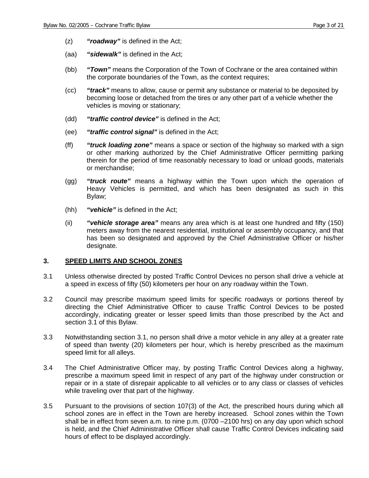- (z) *"roadway"* is defined in the Act;
- (aa) *"sidewalk"* is defined in the Act;
- (bb) *"Town"* means the Corporation of the Town of Cochrane or the area contained within the corporate boundaries of the Town, as the context requires;
- (cc) *"track"* means to allow, cause or permit any substance or material to be deposited by becoming loose or detached from the tires or any other part of a vehicle whether the vehicles is moving or stationary;
- (dd) *"traffic control device"* is defined in the Act;
- (ee) *"traffic control signal"* is defined in the Act;
- (ff) *"truck loading zone"* means a space or section of the highway so marked with a sign or other marking authorized by the Chief Administrative Officer permitting parking therein for the period of time reasonably necessary to load or unload goods, materials or merchandise;
- (gg) *"truck route"* means a highway within the Town upon which the operation of Heavy Vehicles is permitted, and which has been designated as such in this Bylaw;
- (hh) *"vehicle"* is defined in the Act;
- (ii) *"vehicle storage area"* means any area which is at least one hundred and fifty (150) meters away from the nearest residential, institutional or assembly occupancy, and that has been so designated and approved by the Chief Administrative Officer or his/her designate.

#### **3. SPEED LIMITS AND SCHOOL ZONES**

- 3.1 Unless otherwise directed by posted Traffic Control Devices no person shall drive a vehicle at a speed in excess of fifty (50) kilometers per hour on any roadway within the Town.
- 3.2 Council may prescribe maximum speed limits for specific roadways or portions thereof by directing the Chief Administrative Officer to cause Traffic Control Devices to be posted accordingly, indicating greater or lesser speed limits than those prescribed by the Act and section 3.1 of this Bylaw.
- 3.3 Notwithstanding section 3.1, no person shall drive a motor vehicle in any alley at a greater rate of speed than twenty (20) kilometers per hour, which is hereby prescribed as the maximum speed limit for all alleys.
- 3.4 The Chief Administrative Officer may, by posting Traffic Control Devices along a highway, prescribe a maximum speed limit in respect of any part of the highway under construction or repair or in a state of disrepair applicable to all vehicles or to any class or classes of vehicles while traveling over that part of the highway.
- 3.5 Pursuant to the provisions of section 107(3) of the Act, the prescribed hours during which all school zones are in effect in the Town are hereby increased. School zones within the Town shall be in effect from seven a.m. to nine p.m. (0700 –2100 hrs) on any day upon which school is held, and the Chief Administrative Officer shall cause Traffic Control Devices indicating said hours of effect to be displayed accordingly.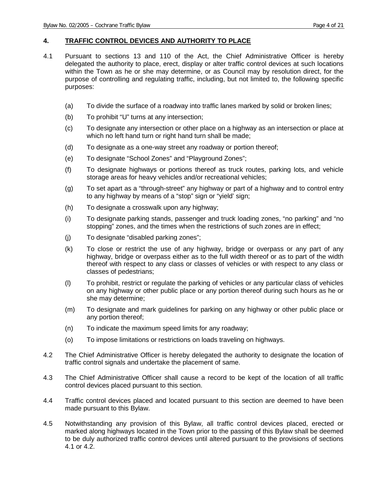#### **4. TRAFFIC CONTROL DEVICES AND AUTHORITY TO PLACE**

- 4.1 Pursuant to sections 13 and 110 of the Act, the Chief Administrative Officer is hereby delegated the authority to place, erect, display or alter traffic control devices at such locations within the Town as he or she may determine, or as Council may by resolution direct, for the purpose of controlling and regulating traffic, including, but not limited to, the following specific purposes:
	- (a) To divide the surface of a roadway into traffic lanes marked by solid or broken lines;
	- (b) To prohibit "U" turns at any intersection;
	- (c) To designate any intersection or other place on a highway as an intersection or place at which no left hand turn or right hand turn shall be made;
	- (d) To designate as a one-way street any roadway or portion thereof;
	- (e) To designate "School Zones" and "Playground Zones";
	- (f) To designate highways or portions thereof as truck routes, parking lots, and vehicle storage areas for heavy vehicles and/or recreational vehicles;
	- (g) To set apart as a "through-street" any highway or part of a highway and to control entry to any highway by means of a "stop" sign or "yield' sign;
	- (h) To designate a crosswalk upon any highway;
	- (i) To designate parking stands, passenger and truck loading zones, "no parking" and "no stopping" zones, and the times when the restrictions of such zones are in effect;
	- (j) To designate "disabled parking zones";
	- (k) To close or restrict the use of any highway, bridge or overpass or any part of any highway, bridge or overpass either as to the full width thereof or as to part of the width thereof with respect to any class or classes of vehicles or with respect to any class or classes of pedestrians;
	- (l) To prohibit, restrict or regulate the parking of vehicles or any particular class of vehicles on any highway or other public place or any portion thereof during such hours as he or she may determine;
	- (m) To designate and mark guidelines for parking on any highway or other public place or any portion thereof;
	- (n) To indicate the maximum speed limits for any roadway;
	- (o) To impose limitations or restrictions on loads traveling on highways.
- 4.2 The Chief Administrative Officer is hereby delegated the authority to designate the location of traffic control signals and undertake the placement of same.
- 4.3 The Chief Administrative Officer shall cause a record to be kept of the location of all traffic control devices placed pursuant to this section.
- 4.4 Traffic control devices placed and located pursuant to this section are deemed to have been made pursuant to this Bylaw.
- 4.5 Notwithstanding any provision of this Bylaw, all traffic control devices placed, erected or marked along highways located in the Town prior to the passing of this Bylaw shall be deemed to be duly authorized traffic control devices until altered pursuant to the provisions of sections 4.1 or 4.2.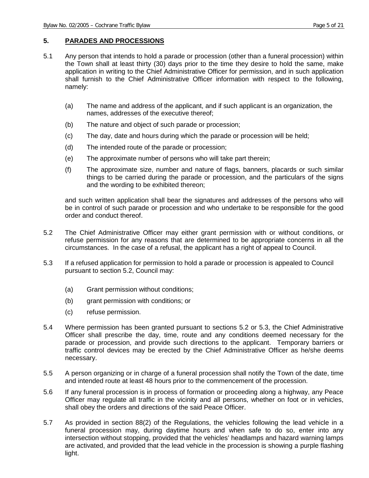#### **5. PARADES AND PROCESSIONS**

- 5.1 Any person that intends to hold a parade or procession (other than a funeral procession) within the Town shall at least thirty (30) days prior to the time they desire to hold the same, make application in writing to the Chief Administrative Officer for permission, and in such application shall furnish to the Chief Administrative Officer information with respect to the following, namely:
	- (a) The name and address of the applicant, and if such applicant is an organization, the names, addresses of the executive thereof;
	- (b) The nature and object of such parade or procession;
	- (c) The day, date and hours during which the parade or procession will be held;
	- (d) The intended route of the parade or procession;
	- (e) The approximate number of persons who will take part therein;
	- (f) The approximate size, number and nature of flags, banners, placards or such similar things to be carried during the parade or procession, and the particulars of the signs and the wording to be exhibited thereon;

and such written application shall bear the signatures and addresses of the persons who will be in control of such parade or procession and who undertake to be responsible for the good order and conduct thereof.

- 5.2 The Chief Administrative Officer may either grant permission with or without conditions, or refuse permission for any reasons that are determined to be appropriate concerns in all the circumstances. In the case of a refusal, the applicant has a right of appeal to Council.
- 5.3 If a refused application for permission to hold a parade or procession is appealed to Council pursuant to section 5.2, Council may:
	- (a) Grant permission without conditions;
	- (b) grant permission with conditions; or
	- (c) refuse permission.
- 5.4 Where permission has been granted pursuant to sections 5.2 or 5.3, the Chief Administrative Officer shall prescribe the day, time, route and any conditions deemed necessary for the parade or procession, and provide such directions to the applicant. Temporary barriers or traffic control devices may be erected by the Chief Administrative Officer as he/she deems necessary.
- 5.5 A person organizing or in charge of a funeral procession shall notify the Town of the date, time and intended route at least 48 hours prior to the commencement of the procession.
- 5.6 If any funeral procession is in process of formation or proceeding along a highway, any Peace Officer may regulate all traffic in the vicinity and all persons, whether on foot or in vehicles, shall obey the orders and directions of the said Peace Officer.
- 5.7 As provided in section 88(2) of the Regulations, the vehicles following the lead vehicle in a funeral procession may, during daytime hours and when safe to do so, enter into any intersection without stopping, provided that the vehicles' headlamps and hazard warning lamps are activated, and provided that the lead vehicle in the procession is showing a purple flashing light.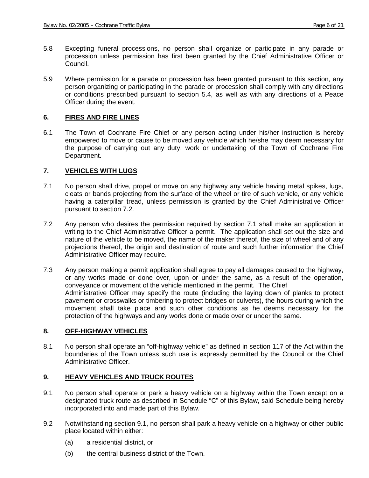- 5.8 Excepting funeral processions, no person shall organize or participate in any parade or procession unless permission has first been granted by the Chief Administrative Officer or Council.
- 5.9 Where permission for a parade or procession has been granted pursuant to this section, any person organizing or participating in the parade or procession shall comply with any directions or conditions prescribed pursuant to section 5.4, as well as with any directions of a Peace Officer during the event.

#### **6. FIRES AND FIRE LINES**

6.1 The Town of Cochrane Fire Chief or any person acting under his/her instruction is hereby empowered to move or cause to be moved any vehicle which he/she may deem necessary for the purpose of carrying out any duty, work or undertaking of the Town of Cochrane Fire Department.

#### **7. VEHICLES WITH LUGS**

- 7.1 No person shall drive, propel or move on any highway any vehicle having metal spikes, lugs, cleats or bands projecting from the surface of the wheel or tire of such vehicle, or any vehicle having a caterpillar tread, unless permission is granted by the Chief Administrative Officer pursuant to section 7.2.
- 7.2 Any person who desires the permission required by section 7.1 shall make an application in writing to the Chief Administrative Officer a permit. The application shall set out the size and nature of the vehicle to be moved, the name of the maker thereof, the size of wheel and of any projections thereof, the origin and destination of route and such further information the Chief Administrative Officer may require.
- 7.3 Any person making a permit application shall agree to pay all damages caused to the highway, or any works made or done over, upon or under the same, as a result of the operation, conveyance or movement of the vehicle mentioned in the permit. The Chief Administrative Officer may specify the route (including the laying down of planks to protect pavement or crosswalks or timbering to protect bridges or culverts), the hours during which the movement shall take place and such other conditions as he deems necessary for the protection of the highways and any works done or made over or under the same.

#### **8. OFF-HIGHWAY VEHICLES**

8.1 No person shall operate an "off-highway vehicle" as defined in section 117 of the Act within the boundaries of the Town unless such use is expressly permitted by the Council or the Chief Administrative Officer.

#### **9. HEAVY VEHICLES AND TRUCK ROUTES**

- 9.1 No person shall operate or park a heavy vehicle on a highway within the Town except on a designated truck route as described in Schedule "C" of this Bylaw, said Schedule being hereby incorporated into and made part of this Bylaw.
- 9.2 Notwithstanding section 9.1, no person shall park a heavy vehicle on a highway or other public place located within either:
	- (a) a residential district, or
	- (b) the central business district of the Town.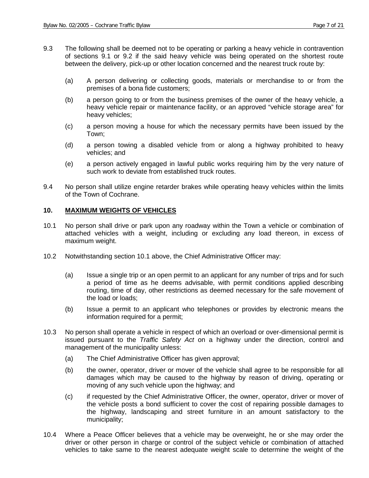- 9.3 The following shall be deemed not to be operating or parking a heavy vehicle in contravention of sections 9.1 or 9.2 if the said heavy vehicle was being operated on the shortest route between the delivery, pick-up or other location concerned and the nearest truck route by:
	- (a) A person delivering or collecting goods, materials or merchandise to or from the premises of a bona fide customers;
	- (b) a person going to or from the business premises of the owner of the heavy vehicle, a heavy vehicle repair or maintenance facility, or an approved "vehicle storage area" for heavy vehicles;
	- (c) a person moving a house for which the necessary permits have been issued by the Town;
	- (d) a person towing a disabled vehicle from or along a highway prohibited to heavy vehicles; and
	- (e) a person actively engaged in lawful public works requiring him by the very nature of such work to deviate from established truck routes.
- 9.4 No person shall utilize engine retarder brakes while operating heavy vehicles within the limits of the Town of Cochrane.

#### **10. MAXIMUM WEIGHTS OF VEHICLES**

- 10.1 No person shall drive or park upon any roadway within the Town a vehicle or combination of attached vehicles with a weight, including or excluding any load thereon, in excess of maximum weight.
- 10.2 Notwithstanding section 10.1 above, the Chief Administrative Officer may:
	- (a) Issue a single trip or an open permit to an applicant for any number of trips and for such a period of time as he deems advisable, with permit conditions applied describing routing, time of day, other restrictions as deemed necessary for the safe movement of the load or loads;
	- (b) Issue a permit to an applicant who telephones or provides by electronic means the information required for a permit;
- 10.3 No person shall operate a vehicle in respect of which an overload or over-dimensional permit is issued pursuant to the *Traffic Safety Act* on a highway under the direction, control and management of the municipality unless:
	- (a) The Chief Administrative Officer has given approval;
	- (b) the owner, operator, driver or mover of the vehicle shall agree to be responsible for all damages which may be caused to the highway by reason of driving, operating or moving of any such vehicle upon the highway; and
	- (c) if requested by the Chief Administrative Officer, the owner, operator, driver or mover of the vehicle posts a bond sufficient to cover the cost of repairing possible damages to the highway, landscaping and street furniture in an amount satisfactory to the municipality;
- 10.4 Where a Peace Officer believes that a vehicle may be overweight, he or she may order the driver or other person in charge or control of the subject vehicle or combination of attached vehicles to take same to the nearest adequate weight scale to determine the weight of the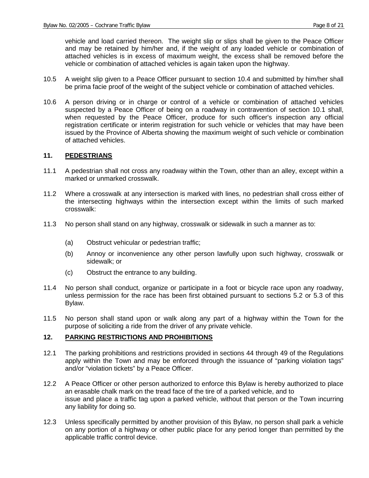vehicle and load carried thereon. The weight slip or slips shall be given to the Peace Officer and may be retained by him/her and, if the weight of any loaded vehicle or combination of attached vehicles is in excess of maximum weight, the excess shall be removed before the vehicle or combination of attached vehicles is again taken upon the highway.

- 10.5 A weight slip given to a Peace Officer pursuant to section 10.4 and submitted by him/her shall be prima facie proof of the weight of the subject vehicle or combination of attached vehicles.
- 10.6 A person driving or in charge or control of a vehicle or combination of attached vehicles suspected by a Peace Officer of being on a roadway in contravention of section 10.1 shall, when requested by the Peace Officer, produce for such officer's inspection any official registration certificate or interim registration for such vehicle or vehicles that may have been issued by the Province of Alberta showing the maximum weight of such vehicle or combination of attached vehicles.

#### **11. PEDESTRIANS**

- 11.1 A pedestrian shall not cross any roadway within the Town, other than an alley, except within a marked or unmarked crosswalk.
- 11.2 Where a crosswalk at any intersection is marked with lines, no pedestrian shall cross either of the intersecting highways within the intersection except within the limits of such marked crosswalk:
- 11.3 No person shall stand on any highway, crosswalk or sidewalk in such a manner as to:
	- (a) Obstruct vehicular or pedestrian traffic;
	- (b) Annoy or inconvenience any other person lawfully upon such highway, crosswalk or sidewalk; or
	- (c) Obstruct the entrance to any building.
- 11.4 No person shall conduct, organize or participate in a foot or bicycle race upon any roadway, unless permission for the race has been first obtained pursuant to sections 5.2 or 5.3 of this Bylaw.
- 11.5 No person shall stand upon or walk along any part of a highway within the Town for the purpose of soliciting a ride from the driver of any private vehicle.

#### **12. PARKING RESTRICTIONS AND PROHIBITIONS**

- 12.1 The parking prohibitions and restrictions provided in sections 44 through 49 of the Regulations apply within the Town and may be enforced through the issuance of "parking violation tags" and/or "violation tickets" by a Peace Officer.
- 12.2 A Peace Officer or other person authorized to enforce this Bylaw is hereby authorized to place an erasable chalk mark on the tread face of the tire of a parked vehicle, and to issue and place a traffic tag upon a parked vehicle, without that person or the Town incurring any liability for doing so.
- 12.3 Unless specifically permitted by another provision of this Bylaw, no person shall park a vehicle on any portion of a highway or other public place for any period longer than permitted by the applicable traffic control device.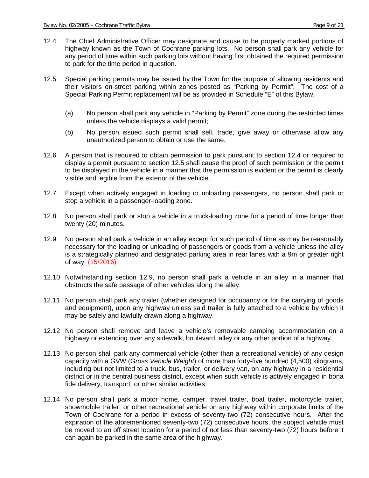- 12.4 The Chief Administrative Officer may designate and cause to be properly marked portions of highway known as the Town of Cochrane parking lots. No person shall park any vehicle for any period of time within such parking lots without having first obtained the required permission to park for the time period in question.
- 12.5 Special parking permits may be issued by the Town for the purpose of allowing residents and their visitors on-street parking within zones posted as "Parking by Permit". The cost of a Special Parking Permit replacement will be as provided in Schedule "E" of this Bylaw.
	- (a) No person shall park any vehicle in "Parking by Permit" zone during the restricted times unless the vehicle displays a valid permit;
	- (b) No person issued such permit shall sell, trade, give away or otherwise allow any unauthorized person to obtain or use the same.
- 12.6 A person that is required to obtain permission to park pursuant to section 12.4 or required to display a permit pursuant to section 12.5 shall cause the proof of such permission or the permit to be displayed in the vehicle in a manner that the permission is evident or the permit is clearly visible and legible from the exterior of the vehicle.
- 12.7 Except when actively engaged in loading or unloading passengers, no person shall park or stop a vehicle in a passenger-loading zone.
- 12.8 No person shall park or stop a vehicle in a truck-loading zone for a period of time longer than twenty (20) minutes.
- 12.9 No person shall park a vehicle in an alley except for such period of time as may be reasonably necessary for the loading or unloading of passengers or goods from a vehicle unless the alley is a strategically planned and designated parking area in rear lanes with a 9m or greater right of way. (15/2016)
- 12.10 Notwithstanding section 12.9, no person shall park a vehicle in an alley in a manner that obstructs the safe passage of other vehicles along the alley.
- 12.11 No person shall park any trailer (whether designed for occupancy or for the carrying of goods and equipment), upon any highway unless said trailer is fully attached to a vehicle by which it may be safely and lawfully drawn along a highway.
- 12.12 No person shall remove and leave a vehicle's removable camping accommodation on a highway or extending over any sidewalk, boulevard, alley or any other portion of a highway.
- 12.13 No person shall park any commercial vehicle (other than a recreational vehicle) of any design capacity with a GVW (G*ross Vehicle Weight*) of more than forty-five hundred (4,500) kilograms, including but not limited to a truck, bus, trailer, or delivery van, on any highway in a residential district or in the central business district, except when such vehicle is actively engaged in bona fide delivery, transport, or other similar activities.
- 12.14 No person shall park a motor home, camper, travel trailer, boat trailer, motorcycle trailer, snowmobile trailer, or other recreational vehicle on any highway within corporate limits of the Town of Cochrane for a period in excess of seventy-two (72) consecutive hours. After the expiration of the aforementioned seventy-two (72) consecutive hours, the subject vehicle must be moved to an off street location for a period of not less than seventy-two (72) hours before it can again be parked in the same area of the highway.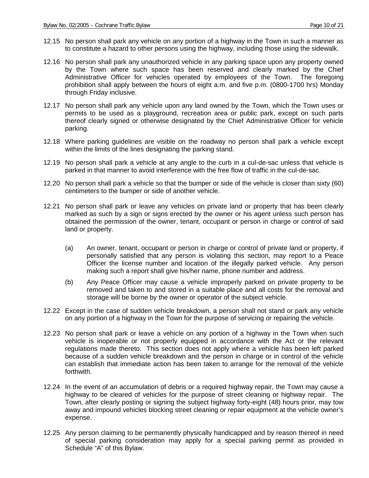- 12.15 No person shall park any vehicle on any portion of a highway in the Town in such a manner as to constitute a hazard to other persons using the highway, including those using the sidewalk.
- 12.16 No person shall park any unauthorized vehicle in any parking space upon any property owned by the Town where such space has been reserved and clearly marked by the Chief Administrative Officer for vehicles operated by employees of the Town. The foregoing prohibition shall apply between the hours of eight a.m. and five p.m. (0800-1700 hrs) Monday through Friday inclusive.
- 12.17 No person shall park any vehicle upon any land owned by the Town, which the Town uses or permits to be used as a playground, recreation area or public park, except on such parts thereof clearly signed or otherwise designated by the Chief Administrative Officer for vehicle parking.
- 12.18 Where parking guidelines are visible on the roadway no person shall park a vehicle except within the limits of the lines designating the parking stand.
- 12.19 No person shall park a vehicle at any angle to the curb in a cul-de-sac unless that vehicle is parked in that manner to avoid interference with the free flow of traffic in the cul-de-sac.
- 12.20 No person shall park a vehicle so that the bumper or side of the vehicle is closer than sixty (60) centimeters to the bumper or side of another vehicle.
- 12.21 No person shall park or leave any vehicles on private land or property that has been clearly marked as such by a sign or signs erected by the owner or his agent unless such person has obtained the permission of the owner, tenant, occupant or person in charge or control of said land or property.
	- (a) An owner, tenant, occupant or person in charge or control of private land or property, if personally satisfied that any person is violating this section, may report to a Peace Officer the license number and location of the illegally parked vehicle. Any person making such a report shall give his/her name, phone number and address.
	- (b) Any Peace Officer may cause a vehicle improperly parked on private property to be removed and taken to and stored in a suitable place and all costs for the removal and storage will be borne by the owner or operator of the subject vehicle.
- 12.22 Except in the case of sudden vehicle breakdown, a person shall not stand or park any vehicle on any portion of a highway in the Town for the purpose of servicing or repairing the vehicle.
- 12.23 No person shall park or leave a vehicle on any portion of a highway in the Town when such vehicle is inoperable or not properly equipped in accordance with the Act or the relevant regulations made thereto. This section does not apply where a vehicle has been left parked because of a sudden vehicle breakdown and the person in charge or in control of the vehicle can establish that immediate action has been taken to arrange for the removal of the vehicle forthwith.
- 12.24 In the event of an accumulation of debris or a required highway repair, the Town may cause a highway to be cleared of vehicles for the purpose of street cleaning or highway repair. The Town, after clearly posting or signing the subject highway forty-eight (48) hours prior, may tow away and impound vehicles blocking street cleaning or repair equipment at the vehicle owner's expense.
- 12.25 Any person claiming to be permanently physically handicapped and by reason thereof in need of special parking consideration may apply for a special parking permit as provided in Schedule "A" of this Bylaw.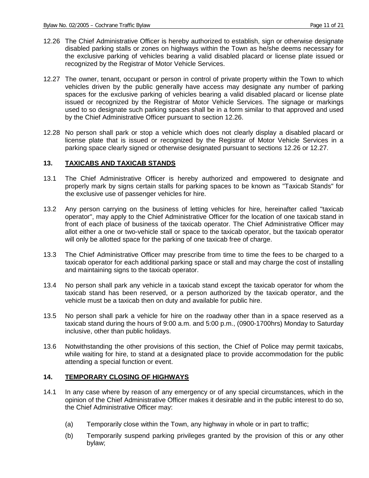- 12.26 The Chief Administrative Officer is hereby authorized to establish, sign or otherwise designate disabled parking stalls or zones on highways within the Town as he/she deems necessary for the exclusive parking of vehicles bearing a valid disabled placard or license plate issued or recognized by the Registrar of Motor Vehicle Services.
- 12.27 The owner, tenant, occupant or person in control of private property within the Town to which vehicles driven by the public generally have access may designate any number of parking spaces for the exclusive parking of vehicles bearing a valid disabled placard or license plate issued or recognized by the Registrar of Motor Vehicle Services. The signage or markings used to so designate such parking spaces shall be in a form similar to that approved and used by the Chief Administrative Officer pursuant to section 12.26.
- 12.28 No person shall park or stop a vehicle which does not clearly display a disabled placard or license plate that is issued or recognized by the Registrar of Motor Vehicle Services in a parking space clearly signed or otherwise designated pursuant to sections 12.26 or 12.27.

#### **13. TAXICABS AND TAXICAB STANDS**

- 13.1 The Chief Administrative Officer is hereby authorized and empowered to designate and properly mark by signs certain stalls for parking spaces to be known as "Taxicab Stands" for the exclusive use of passenger vehicles for hire.
- 13.2 Any person carrying on the business of letting vehicles for hire, hereinafter called "taxicab operator", may apply to the Chief Administrative Officer for the location of one taxicab stand in front of each place of business of the taxicab operator. The Chief Administrative Officer may allot either a one or two-vehicle stall or space to the taxicab operator, but the taxicab operator will only be allotted space for the parking of one taxicab free of charge.
- 13.3 The Chief Administrative Officer may prescribe from time to time the fees to be charged to a taxicab operator for each additional parking space or stall and may charge the cost of installing and maintaining signs to the taxicab operator.
- 13.4 No person shall park any vehicle in a taxicab stand except the taxicab operator for whom the taxicab stand has been reserved, or a person authorized by the taxicab operator, and the vehicle must be a taxicab then on duty and available for public hire.
- 13.5 No person shall park a vehicle for hire on the roadway other than in a space reserved as a taxicab stand during the hours of 9:00 a.m. and 5:00 p.m., (0900-1700hrs) Monday to Saturday inclusive, other than public holidays.
- 13.6 Notwithstanding the other provisions of this section, the Chief of Police may permit taxicabs, while waiting for hire, to stand at a designated place to provide accommodation for the public attending a special function or event.

#### **14. TEMPORARY CLOSING OF HIGHWAYS**

- 14.1 In any case where by reason of any emergency or of any special circumstances, which in the opinion of the Chief Administrative Officer makes it desirable and in the public interest to do so, the Chief Administrative Officer may:
	- (a) Temporarily close within the Town, any highway in whole or in part to traffic;
	- (b) Temporarily suspend parking privileges granted by the provision of this or any other bylaw;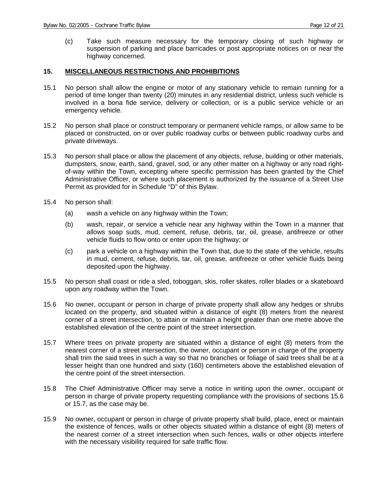(c) Take such measure necessary for the temporary closing of such highway or suspension of parking and place barricades or post appropriate notices on or near the highway concerned.

#### **15. MISCELLANEOUS RESTRICTIONS AND PROHIBITIONS**

- 15.1 No person shall allow the engine or motor of any stationary vehicle to remain running for a period of time longer than twenty (20) minutes in any residential district, unless such vehicle is involved in a bona fide service, delivery or collection, or is a public service vehicle or an emergency vehicle.
- 15.2 No person shall place or construct temporary or permanent vehicle ramps, or allow same to be placed or constructed, on or over public roadway curbs or between public roadway curbs and private driveways.
- 15.3 No person shall place or allow the placement of any objects, refuse, building or other materials, dumpsters, snow, earth, sand, gravel, sod, or any other matter on a highway or any road rightof-way within the Town, excepting where specific permission has been granted by the Chief Administrative Officer, or where such placement is authorized by the issuance of a Street Use Permit as provided for in Schedule "D" of this Bylaw.
- 15.4 No person shall:
	- (a) wash a vehicle on any highway within the Town;
	- (b) wash, repair, or service a vehicle near any highway within the Town in a manner that allows soap suds, mud, cement, refuse, debris, tar, oil, grease, antifreeze or other vehicle fluids to flow onto or enter upon the highway; or
	- (c) park a vehicle on a highway within the Town that, due to the state of the vehicle, results in mud, cement, refuse, debris, tar, oil, grease, antifreeze or other vehicle fluids being deposited upon the highway.
- 15.5 No person shall coast or ride a sled, toboggan, skis, roller skates, roller blades or a skateboard upon any roadway within the Town.
- 15.6 No owner, occupant or person in charge of private property shall allow any hedges or shrubs located on the property, and situated within a distance of eight (8) meters from the nearest corner of a street intersection, to attain or maintain a height greater than one metre above the established elevation of the centre point of the street intersection.
- 15.7 Where trees on private property are situated within a distance of eight (8) meters from the nearest corner of a street intersection, the owner, occupant or person in charge of the property shall trim the said trees in such a way so that no branches or foliage of said trees shall be at a lesser height than one hundred and sixty (160) centimeters above the established elevation of the centre point of the street intersection.
- 15.8 The Chief Administrative Officer may serve a notice in writing upon the owner, occupant or person in charge of private property requesting compliance with the provisions of sections 15.6 or 15.7, as the case may be.
- 15.9 No owner, occupant or person in charge of private property shall build, place, erect or maintain the existence of fences, walls or other objects situated within a distance of eight (8) meters of the nearest corner of a street intersection when such fences, walls or other objects interfere with the necessary visibility required for safe traffic flow.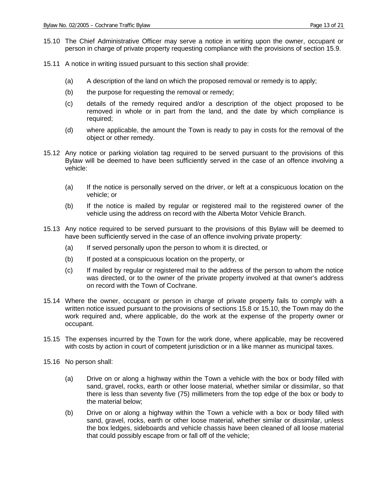- 15.10 The Chief Administrative Officer may serve a notice in writing upon the owner, occupant or person in charge of private property requesting compliance with the provisions of section 15.9.
- 15.11 A notice in writing issued pursuant to this section shall provide:
	- (a) A description of the land on which the proposed removal or remedy is to apply;
	- (b) the purpose for requesting the removal or remedy;
	- (c) details of the remedy required and/or a description of the object proposed to be removed in whole or in part from the land, and the date by which compliance is required;
	- (d) where applicable, the amount the Town is ready to pay in costs for the removal of the object or other remedy.
- 15.12 Any notice or parking violation tag required to be served pursuant to the provisions of this Bylaw will be deemed to have been sufficiently served in the case of an offence involving a vehicle:
	- (a) If the notice is personally served on the driver, or left at a conspicuous location on the vehicle; or
	- (b) If the notice is mailed by regular or registered mail to the registered owner of the vehicle using the address on record with the Alberta Motor Vehicle Branch.
- 15.13 Any notice required to be served pursuant to the provisions of this Bylaw will be deemed to have been sufficiently served in the case of an offence involving private property:
	- (a) If served personally upon the person to whom it is directed, or
	- (b) If posted at a conspicuous location on the property, or
	- (c) If mailed by regular or registered mail to the address of the person to whom the notice was directed, or to the owner of the private property involved at that owner's address on record with the Town of Cochrane.
- 15.14 Where the owner, occupant or person in charge of private property fails to comply with a written notice issued pursuant to the provisions of sections 15.8 or 15.10, the Town may do the work required and, where applicable, do the work at the expense of the property owner or occupant.
- 15.15 The expenses incurred by the Town for the work done, where applicable, may be recovered with costs by action in court of competent jurisdiction or in a like manner as municipal taxes.
- 15.16 No person shall:
	- (a) Drive on or along a highway within the Town a vehicle with the box or body filled with sand, gravel, rocks, earth or other loose material, whether similar or dissimilar, so that there is less than seventy five (75) millimeters from the top edge of the box or body to the material below;
	- (b) Drive on or along a highway within the Town a vehicle with a box or body filled with sand, gravel, rocks, earth or other loose material, whether similar or dissimilar, unless the box ledges, sideboards and vehicle chassis have been cleaned of all loose material that could possibly escape from or fall off of the vehicle;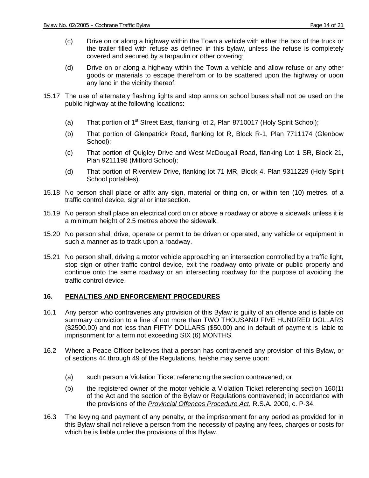- (c) Drive on or along a highway within the Town a vehicle with either the box of the truck or the trailer filled with refuse as defined in this bylaw, unless the refuse is completely covered and secured by a tarpaulin or other covering;
- (d) Drive on or along a highway within the Town a vehicle and allow refuse or any other goods or materials to escape therefrom or to be scattered upon the highway or upon any land in the vicinity thereof.
- 15.17 The use of alternately flashing lights and stop arms on school buses shall not be used on the public highway at the following locations:
	- (a) That portion of 1<sup>st</sup> Street East, flanking lot 2, Plan 8710017 (Holy Spirit School);
	- (b) That portion of Glenpatrick Road, flanking lot R, Block R-1, Plan 7711174 (Glenbow School);
	- (c) That portion of Quigley Drive and West McDougall Road, flanking Lot 1 SR, Block 21, Plan 9211198 (Mitford School);
	- (d) That portion of Riverview Drive, flanking lot 71 MR, Block 4, Plan 9311229 (Holy Spirit School portables).
- 15.18 No person shall place or affix any sign, material or thing on, or within ten (10) metres, of a traffic control device, signal or intersection.
- 15.19 No person shall place an electrical cord on or above a roadway or above a sidewalk unless it is a minimum height of 2.5 metres above the sidewalk.
- 15.20 No person shall drive, operate or permit to be driven or operated, any vehicle or equipment in such a manner as to track upon a roadway.
- 15.21 No person shall, driving a motor vehicle approaching an intersection controlled by a traffic light, stop sign or other traffic control device, exit the roadway onto private or public property and continue onto the same roadway or an intersecting roadway for the purpose of avoiding the traffic control device.

#### **16. PENALTIES AND ENFORCEMENT PROCEDURES**

- 16.1 Any person who contravenes any provision of this Bylaw is guilty of an offence and is liable on summary conviction to a fine of not more than TWO THOUSAND FIVE HUNDRED DOLLARS (\$2500.00) and not less than FIFTY DOLLARS (\$50.00) and in default of payment is liable to imprisonment for a term not exceeding SIX (6) MONTHS.
- 16.2 Where a Peace Officer believes that a person has contravened any provision of this Bylaw, or of sections 44 through 49 of the Regulations, he/she may serve upon:
	- (a) such person a Violation Ticket referencing the section contravened; or
	- (b) the registered owner of the motor vehicle a Violation Ticket referencing section 160(1) of the Act and the section of the Bylaw or Regulations contravened; in accordance with the provisions of the *Provincial Offences Procedure Act*, R.S.A. 2000, c. P-34.
- 16.3 The levying and payment of any penalty, or the imprisonment for any period as provided for in this Bylaw shall not relieve a person from the necessity of paying any fees, charges or costs for which he is liable under the provisions of this Bylaw.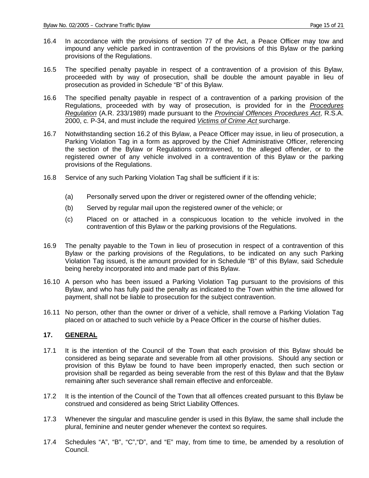- 16.4 In accordance with the provisions of section 77 of the Act, a Peace Officer may tow and impound any vehicle parked in contravention of the provisions of this Bylaw or the parking provisions of the Regulations.
- 16.5 The specified penalty payable in respect of a contravention of a provision of this Bylaw, proceeded with by way of prosecution, shall be double the amount payable in lieu of prosecution as provided in Schedule "B" of this Bylaw.
- 16.6 The specified penalty payable in respect of a contravention of a parking provision of the Regulations, proceeded with by way of prosecution, is provided for in the *Procedures Regulation* (A.R. 233/1989) made pursuant to the *Provincial Offences Procedures Act*, R.S.A. 2000, c. P-34, and must include the required *Victims of Crime Act* surcharge.
- 16.7 Notwithstanding section 16.2 of this Bylaw, a Peace Officer may issue, in lieu of prosecution, a Parking Violation Tag in a form as approved by the Chief Administrative Officer, referencing the section of the Bylaw or Regulations contravened, to the alleged offender, or to the registered owner of any vehicle involved in a contravention of this Bylaw or the parking provisions of the Regulations.
- 16.8 Service of any such Parking Violation Tag shall be sufficient if it is:
	- (a) Personally served upon the driver or registered owner of the offending vehicle;
	- (b) Served by regular mail upon the registered owner of the vehicle; or
	- (c) Placed on or attached in a conspicuous location to the vehicle involved in the contravention of this Bylaw or the parking provisions of the Regulations.
- 16.9 The penalty payable to the Town in lieu of prosecution in respect of a contravention of this Bylaw or the parking provisions of the Regulations, to be indicated on any such Parking Violation Tag issued, is the amount provided for in Schedule "B" of this Bylaw, said Schedule being hereby incorporated into and made part of this Bylaw.
- 16.10 A person who has been issued a Parking Violation Tag pursuant to the provisions of this Bylaw, and who has fully paid the penalty as indicated to the Town within the time allowed for payment, shall not be liable to prosecution for the subject contravention.
- 16.11 No person, other than the owner or driver of a vehicle, shall remove a Parking Violation Tag placed on or attached to such vehicle by a Peace Officer in the course of his/her duties.

#### **17. GENERAL**

- 17.1 It is the intention of the Council of the Town that each provision of this Bylaw should be considered as being separate and severable from all other provisions. Should any section or provision of this Bylaw be found to have been improperly enacted, then such section or provision shall be regarded as being severable from the rest of this Bylaw and that the Bylaw remaining after such severance shall remain effective and enforceable.
- 17.2 It is the intention of the Council of the Town that all offences created pursuant to this Bylaw be construed and considered as being Strict Liability Offences.
- 17.3 Whenever the singular and masculine gender is used in this Bylaw, the same shall include the plural, feminine and neuter gender whenever the context so requires.
- 17.4 Schedules "A", "B", "C","D", and "E" may, from time to time, be amended by a resolution of Council.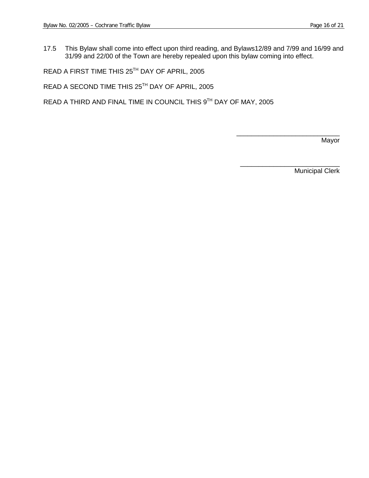17.5 This Bylaw shall come into effect upon third reading, and Bylaws12/89 and 7/99 and 16/99 and 31/99 and 22/00 of the Town are hereby repealed upon this bylaw coming into effect.

READ A FIRST TIME THIS 25TH DAY OF APRIL, 2005

READ A SECOND TIME THIS 25TH DAY OF APRIL, 2005

READ A THIRD AND FINAL TIME IN COUNCIL THIS 9TH DAY OF MAY, 2005

\_\_\_\_\_\_\_\_\_\_\_\_\_\_\_\_\_\_\_\_\_\_\_\_\_\_\_\_ Mayor

Municipal Clerk

\_\_\_\_\_\_\_\_\_\_\_\_\_\_\_\_\_\_\_\_\_\_\_\_\_\_\_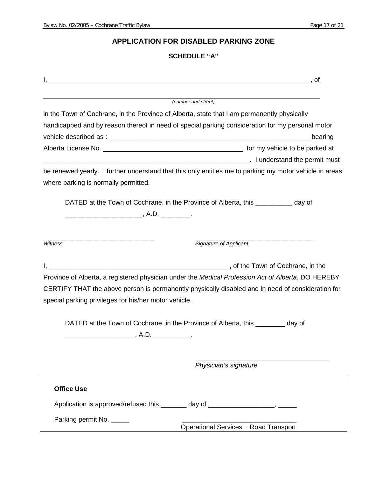## **APPLICATION FOR DISABLED PARKING ZONE**

## **SCHEDULE "A"**

| (number and street)                                                                                                                                                                                                                                                                                                                                                               |                       |
|-----------------------------------------------------------------------------------------------------------------------------------------------------------------------------------------------------------------------------------------------------------------------------------------------------------------------------------------------------------------------------------|-----------------------|
| in the Town of Cochrane, in the Province of Alberta, state that I am permanently physically                                                                                                                                                                                                                                                                                       |                       |
| handicapped and by reason thereof in need of special parking consideration for my personal motor                                                                                                                                                                                                                                                                                  |                       |
|                                                                                                                                                                                                                                                                                                                                                                                   | bearing               |
|                                                                                                                                                                                                                                                                                                                                                                                   |                       |
|                                                                                                                                                                                                                                                                                                                                                                                   |                       |
| be renewed yearly. I further understand that this only entitles me to parking my motor vehicle in areas                                                                                                                                                                                                                                                                           |                       |
| where parking is normally permitted.                                                                                                                                                                                                                                                                                                                                              |                       |
|                                                                                                                                                                                                                                                                                                                                                                                   |                       |
| DATED at the Town of Cochrane, in the Province of Alberta, this __________ day of                                                                                                                                                                                                                                                                                                 |                       |
|                                                                                                                                                                                                                                                                                                                                                                                   |                       |
|                                                                                                                                                                                                                                                                                                                                                                                   |                       |
| <b>Signature of Applicant</b><br>Witness                                                                                                                                                                                                                                                                                                                                          |                       |
|                                                                                                                                                                                                                                                                                                                                                                                   |                       |
|                                                                                                                                                                                                                                                                                                                                                                                   |                       |
|                                                                                                                                                                                                                                                                                                                                                                                   |                       |
|                                                                                                                                                                                                                                                                                                                                                                                   |                       |
|                                                                                                                                                                                                                                                                                                                                                                                   |                       |
|                                                                                                                                                                                                                                                                                                                                                                                   |                       |
|                                                                                                                                                                                                                                                                                                                                                                                   |                       |
| DATED at the Town of Cochrane, in the Province of Alberta, this __________ day of                                                                                                                                                                                                                                                                                                 |                       |
|                                                                                                                                                                                                                                                                                                                                                                                   |                       |
|                                                                                                                                                                                                                                                                                                                                                                                   |                       |
|                                                                                                                                                                                                                                                                                                                                                                                   |                       |
|                                                                                                                                                                                                                                                                                                                                                                                   | Physician's signature |
| <b>Office Use</b>                                                                                                                                                                                                                                                                                                                                                                 |                       |
|                                                                                                                                                                                                                                                                                                                                                                                   |                       |
| Province of Alberta, a registered physician under the Medical Profession Act of Alberta, DO HEREBY<br>CERTIFY THAT the above person is permanently physically disabled and in need of consideration for<br>special parking privileges for his/her motor vehicle.<br>Application is approved/refused this ________ day of ____________________, ______<br>Parking permit No. _____ |                       |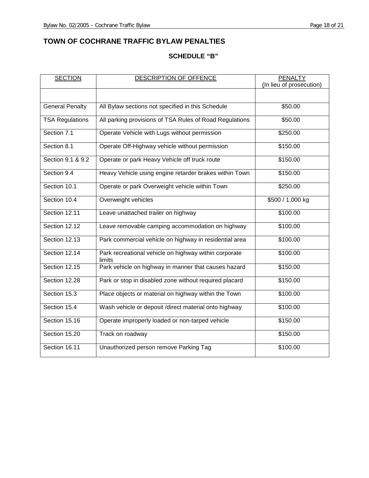## **TOWN OF COCHRANE TRAFFIC BYLAW PENALTIES**

## **SCHEDULE "B"**

| <b>SECTION</b>         | DESCRIPTION OF OFFENCE                                          | <b>PENALTY</b>           |
|------------------------|-----------------------------------------------------------------|--------------------------|
|                        |                                                                 | (In lieu of prosecution) |
|                        |                                                                 |                          |
| <b>General Penalty</b> | All Bylaw sections not specified in this Schedule               | \$50.00                  |
| <b>TSA Regulations</b> | All parking provisions of TSA Rules of Road Regulations         | \$50.00                  |
| Section 7.1            | Operate Vehicle with Lugs without permission                    | \$250.00                 |
| Section 8.1            | Operate Off-Highway vehicle without permission                  | \$150.00                 |
| Section 9.1 & 9.2      | Operate or park Heavy Vehicle off truck route                   | \$150.00                 |
| Section 9.4            | Heavy Vehicle using engine retarder brakes within Town          | \$150.00                 |
| Section 10.1           | Operate or park Overweight vehicle within Town                  | \$250.00                 |
| Section 10.4           | Overweight vehicles                                             | \$500 / 1,000 kg         |
| Section 12.11          | Leave unattached trailer on highway                             | \$100.00                 |
| Section 12.12          | Leave removable camping accommodation on highway                | \$100.00                 |
| Section 12.13          | Park commercial vehicle on highway in residential area          | \$100.00                 |
| Section 12.14          | Park recreational vehicle on highway within corporate<br>limits | \$100.00                 |
| Section 12.15          | Park vehicle on highway in manner that causes hazard            | \$150.00                 |
| Section 12.28          | Park or stop in disabled zone without required placard          | \$150.00                 |
| Section 15.3           | Place objects or material on highway within the Town            | \$100.00                 |
| Section 15.4           | Wash vehicle or deposit /direct material onto highway           | \$100.00                 |
| Section 15.16          | Operate improperly loaded or non-tarped vehicle                 | \$150.00                 |
| Section 15.20          | Track on roadway                                                | \$150.00                 |
| Section 16.11          | Unauthorized person remove Parking Tag                          | \$100.00                 |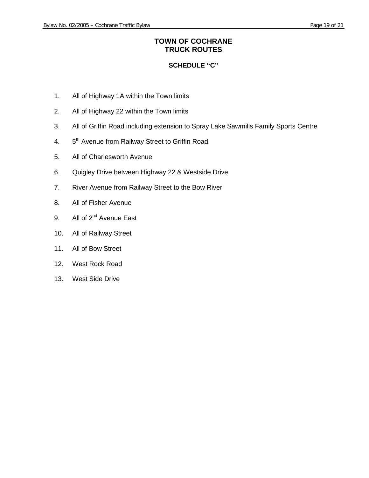## **TOWN OF COCHRANE TRUCK ROUTES**

#### **SCHEDULE "C"**

- 1. All of Highway 1A within the Town limits
- 2. All of Highway 22 within the Town limits
- 3. All of Griffin Road including extension to Spray Lake Sawmills Family Sports Centre
- 4. 5<sup>th</sup> Avenue from Railway Street to Griffin Road
- 5. All of Charlesworth Avenue
- 6. Quigley Drive between Highway 22 & Westside Drive
- 7. River Avenue from Railway Street to the Bow River
- 8. All of Fisher Avenue
- 9. All of 2<sup>nd</sup> Avenue East
- 10. All of Railway Street
- 11. All of Bow Street
- 12. West Rock Road
- 13. West Side Drive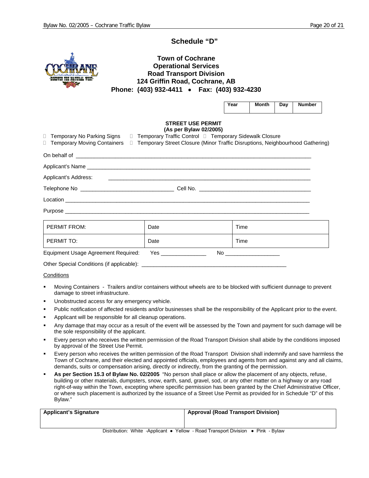#### **Schedule "D"**



#### **Town of Cochrane Operational Services Road Transport Division 124 Griffin Road, Cochrane, AB Phone: (403) 932-4411** • **Fax: (403) 932-4230**

| Year | Month | Dav | <b>Number</b> |
|------|-------|-----|---------------|
|------|-------|-----|---------------|

#### **STREET USE PERMIT (As per Bylaw 02/2005)**

| □ Temporary No Parking Signs        | (1)<br>□ Temporary Traffic Control □ Temporary Sidewalk Closure | □ Temporary Moving Containers □ Temporary Street Closure (Minor Traffic Disruptions, Neighbourhood Gathering) |
|-------------------------------------|-----------------------------------------------------------------|---------------------------------------------------------------------------------------------------------------|
|                                     |                                                                 |                                                                                                               |
|                                     |                                                                 |                                                                                                               |
|                                     |                                                                 |                                                                                                               |
|                                     |                                                                 |                                                                                                               |
|                                     |                                                                 |                                                                                                               |
|                                     |                                                                 |                                                                                                               |
| PERMIT FROM:                        | Date                                                            | Time                                                                                                          |
| PERMIT TO:                          | Date                                                            | Time                                                                                                          |
| Equipment Usage Agreement Required: | Yes _________________                                           | No ______________________                                                                                     |

Other Special Conditions (if applicable):

#### **Conditions**

- Moving Containers Trailers and/or containers without wheels are to be blocked with sufficient dunnage to prevent damage to street infrastructure.
- Unobstructed access for any emergency vehicle.
- Public notification of affected residents and/or businesses shall be the responsibility of the Applicant prior to the event.
- Applicant will be responsible for all cleanup operations.
- Any damage that may occur as a result of the event will be assessed by the Town and payment for such damage will be the sole responsibility of the applicant.
- Every person who receives the written permission of the Road Transport Division shall abide by the conditions imposed by approval of the Street Use Permit.
- Every person who receives the written permission of the Road Transport Division shall indemnify and save harmless the Town of Cochrane, and their elected and appointed officials, employees and agents from and against any and all claims, demands, suits or compensation arising, directly or indirectly, from the granting of the permission.
- **As per Section 15.3 of Bylaw No. 02/2005** "No person shall place or allow the placement of any objects, refuse, building or other materials, dumpsters, snow, earth, sand, gravel, sod, or any other matter on a highway or any road right-of-way within the Town, excepting where specific permission has been granted by the Chief Administrative Officer, or where such placement is authorized by the issuance of a Street Use Permit as provided for in Schedule "D" of this Bylaw."

| <b>Applicant's Signature</b>                                   | Approval (Road Transport Division) |
|----------------------------------------------------------------|------------------------------------|
|                                                                |                                    |
| Dietribution: White Applicant - Vollow Bood Transport Division | - Dink<br>D <sub>1</sub>           |

Distribution: White -Applicant ● Yellow - Road Transport Division ● Pink - Bylaw